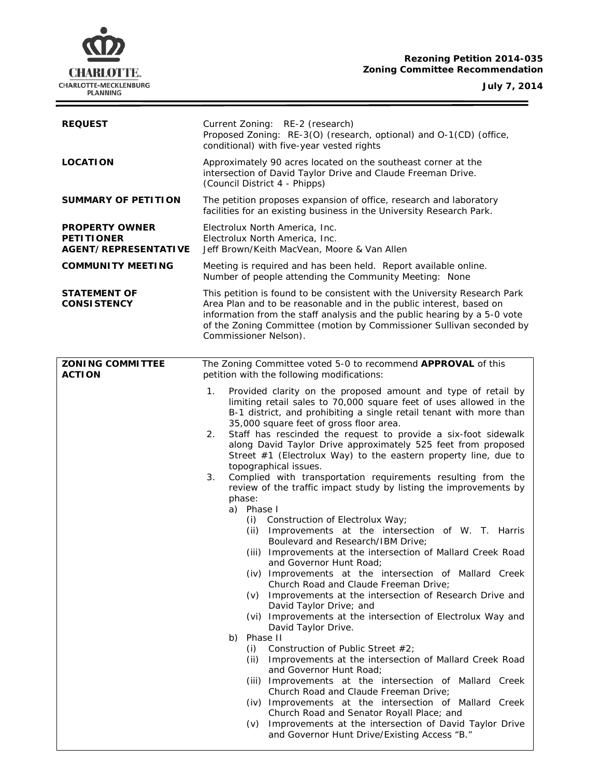

**July 7, 2014**  $\equiv$ 

| <b>REQUEST</b>                                                     | Current Zoning: RE-2 (research)<br>Proposed Zoning: RE-3(O) (research, optional) and O-1(CD) (office,<br>conditional) with five-year vested rights                                                                                                                                                                                                                                                                                                                                                                                                                                                                                                                                                                                                                                                                                                                                                                                                                                                                                                                                                                                                                                                                                                                                                                                                                                                                                                                                                                                                                                                                                                                                   |
|--------------------------------------------------------------------|--------------------------------------------------------------------------------------------------------------------------------------------------------------------------------------------------------------------------------------------------------------------------------------------------------------------------------------------------------------------------------------------------------------------------------------------------------------------------------------------------------------------------------------------------------------------------------------------------------------------------------------------------------------------------------------------------------------------------------------------------------------------------------------------------------------------------------------------------------------------------------------------------------------------------------------------------------------------------------------------------------------------------------------------------------------------------------------------------------------------------------------------------------------------------------------------------------------------------------------------------------------------------------------------------------------------------------------------------------------------------------------------------------------------------------------------------------------------------------------------------------------------------------------------------------------------------------------------------------------------------------------------------------------------------------------|
| <b>LOCATION</b>                                                    | Approximately 90 acres located on the southeast corner at the<br>intersection of David Taylor Drive and Claude Freeman Drive.<br>(Council District 4 - Phipps)                                                                                                                                                                                                                                                                                                                                                                                                                                                                                                                                                                                                                                                                                                                                                                                                                                                                                                                                                                                                                                                                                                                                                                                                                                                                                                                                                                                                                                                                                                                       |
| <b>SUMMARY OF PETITION</b>                                         | The petition proposes expansion of office, research and laboratory<br>facilities for an existing business in the University Research Park.                                                                                                                                                                                                                                                                                                                                                                                                                                                                                                                                                                                                                                                                                                                                                                                                                                                                                                                                                                                                                                                                                                                                                                                                                                                                                                                                                                                                                                                                                                                                           |
| <b>PROPERTY OWNER</b><br><b>PETITIONER</b><br>AGENT/REPRESENTATIVE | Electrolux North America, Inc.<br>Electrolux North America, Inc.<br>Jeff Brown/Keith MacVean, Moore & Van Allen                                                                                                                                                                                                                                                                                                                                                                                                                                                                                                                                                                                                                                                                                                                                                                                                                                                                                                                                                                                                                                                                                                                                                                                                                                                                                                                                                                                                                                                                                                                                                                      |
| <b>COMMUNITY MEETING</b>                                           | Meeting is required and has been held. Report available online.<br>Number of people attending the Community Meeting: None                                                                                                                                                                                                                                                                                                                                                                                                                                                                                                                                                                                                                                                                                                                                                                                                                                                                                                                                                                                                                                                                                                                                                                                                                                                                                                                                                                                                                                                                                                                                                            |
| <b>STATEMENT OF</b><br><b>CONSISTENCY</b>                          | This petition is found to be consistent with the University Research Park<br>Area Plan and to be reasonable and in the public interest, based on<br>information from the staff analysis and the public hearing by a 5-0 vote<br>of the Zoning Committee (motion by Commissioner Sullivan seconded by<br>Commissioner Nelson).                                                                                                                                                                                                                                                                                                                                                                                                                                                                                                                                                                                                                                                                                                                                                                                                                                                                                                                                                                                                                                                                                                                                                                                                                                                                                                                                                        |
| <b>ZONING COMMITTEE</b><br><b>ACTION</b>                           | The Zoning Committee voted 5-0 to recommend APPROVAL of this<br>petition with the following modifications:                                                                                                                                                                                                                                                                                                                                                                                                                                                                                                                                                                                                                                                                                                                                                                                                                                                                                                                                                                                                                                                                                                                                                                                                                                                                                                                                                                                                                                                                                                                                                                           |
|                                                                    | Provided clarity on the proposed amount and type of retail by<br>1.<br>limiting retail sales to 70,000 square feet of uses allowed in the<br>B-1 district, and prohibiting a single retail tenant with more than<br>35,000 square feet of gross floor area.<br>Staff has rescinded the request to provide a six-foot sidewalk<br>2.<br>along David Taylor Drive approximately 525 feet from proposed<br>Street $#1$ (Electrolux Way) to the eastern property line, due to<br>topographical issues.<br>Complied with transportation requirements resulting from the<br>3.<br>review of the traffic impact study by listing the improvements by<br>phase:<br>a) Phase I<br>(i) Construction of Electrolux Way;<br>Improvements at the intersection of W. T. Harris<br>(ii)<br>Boulevard and Research/IBM Drive;<br>(iii) Improvements at the intersection of Mallard Creek Road<br>and Governor Hunt Road;<br>(iv) Improvements at the intersection of Mallard Creek<br>Church Road and Claude Freeman Drive;<br>Improvements at the intersection of Research Drive and<br>(V)<br>David Taylor Drive; and<br>(vi) Improvements at the intersection of Electrolux Way and<br>David Taylor Drive.<br>Phase II<br>b)<br>Construction of Public Street #2;<br>(i)<br>Improvements at the intersection of Mallard Creek Road<br>(ii)<br>and Governor Hunt Road;<br>(iii) Improvements at the intersection of Mallard Creek<br>Church Road and Claude Freeman Drive;<br>(iv) Improvements at the intersection of Mallard Creek<br>Church Road and Senator Royall Place; and<br>Improvements at the intersection of David Taylor Drive<br>(v)<br>and Governor Hunt Drive/Existing Access "B." |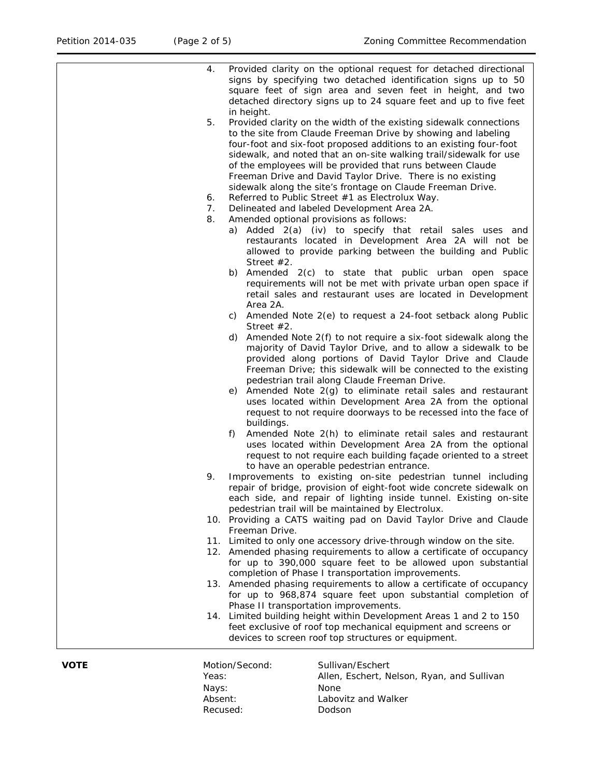|    | devices to screen roof top structures or equipment.                                                                           |
|----|-------------------------------------------------------------------------------------------------------------------------------|
|    |                                                                                                                               |
|    | feet exclusive of roof top mechanical equipment and screens or                                                                |
|    | 14. Limited building height within Development Areas 1 and 2 to 150                                                           |
|    | Phase II transportation improvements.                                                                                         |
|    | for up to 968,874 square feet upon substantial completion of                                                                  |
|    | 13. Amended phasing requirements to allow a certificate of occupancy                                                          |
|    | completion of Phase I transportation improvements.                                                                            |
|    | for up to 390,000 square feet to be allowed upon substantial                                                                  |
|    | 12. Amended phasing requirements to allow a certificate of occupancy                                                          |
|    | Freeman Drive.<br>11. Limited to only one accessory drive-through window on the site.                                         |
|    | 10. Providing a CATS waiting pad on David Taylor Drive and Claude                                                             |
|    | pedestrian trail will be maintained by Electrolux.                                                                            |
|    | each side, and repair of lighting inside tunnel. Existing on-site                                                             |
|    | repair of bridge, provision of eight-foot wide concrete sidewalk on                                                           |
| 9. | Improvements to existing on-site pedestrian tunnel including                                                                  |
|    | to have an operable pedestrian entrance.                                                                                      |
|    | uses located within Development Area 2A from the optional<br>request to not require each building façade oriented to a street |
|    | Amended Note 2(h) to eliminate retail sales and restaurant<br>f)                                                              |
|    | buildings.                                                                                                                    |
|    | request to not require doorways to be recessed into the face of                                                               |
|    | uses located within Development Area 2A from the optional                                                                     |
|    | e) Amended Note 2(g) to eliminate retail sales and restaurant                                                                 |
|    | pedestrian trail along Claude Freeman Drive.                                                                                  |
|    | Freeman Drive; this sidewalk will be connected to the existing                                                                |
|    | majority of David Taylor Drive, and to allow a sidewalk to be<br>provided along portions of David Taylor Drive and Claude     |
|    | Amended Note 2(f) to not require a six-foot sidewalk along the<br>d)                                                          |
|    | Street $#2$ .                                                                                                                 |
|    | c) Amended Note 2(e) to request a 24-foot setback along Public                                                                |
|    | Area 2A.                                                                                                                      |
|    | retail sales and restaurant uses are located in Development                                                                   |
|    | requirements will not be met with private urban open space if                                                                 |
|    | Street $#2$ .<br>b) Amended 2(c) to state that public urban open space                                                        |
|    | allowed to provide parking between the building and Public                                                                    |
|    | restaurants located in Development Area 2A will not be                                                                        |
|    | a) Added 2(a) (iv) to specify that retail sales uses and                                                                      |
| 8. | Amended optional provisions as follows:                                                                                       |
| 7. | Delineated and labeled Development Area 2A.                                                                                   |
| 6. | Referred to Public Street #1 as Electrolux Way.                                                                               |
|    | Freeman Drive and David Taylor Drive. There is no existing<br>sidewalk along the site's frontage on Claude Freeman Drive.     |
|    | of the employees will be provided that runs between Claude                                                                    |
|    | sidewalk, and noted that an on-site walking trail/sidewalk for use                                                            |
|    | four-foot and six-foot proposed additions to an existing four-foot                                                            |
|    | to the site from Claude Freeman Drive by showing and labeling                                                                 |
| 5. | in height.<br>Provided clarity on the width of the existing sidewalk connections                                              |
|    | detached directory signs up to 24 square feet and up to five feet                                                             |
|    | square feet of sign area and seven feet in height, and two                                                                    |
|    | signs by specifying two detached identification signs up to 50                                                                |
| 4. | Provided clarity on the optional request for detached directional                                                             |

Nays:<br>Absent: None<br>Labov Recused: Dodson

**VOTE** Motion/Second: Sullivan/Eschert<br>Yeas: Allen, Eschert, N Allen, Eschert, Nelson, Ryan, and Sullivan Labovitz and Walker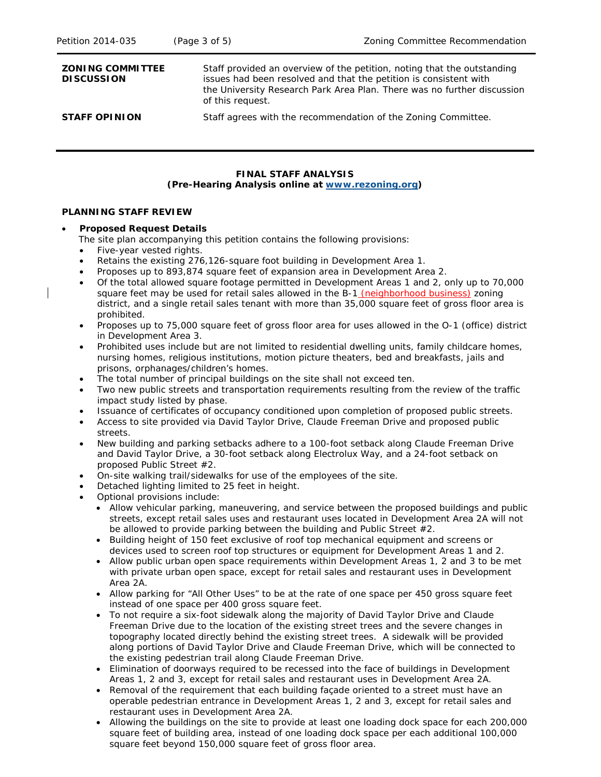| <b>ZONING COMMITTEE</b><br><b>DISCUSSION</b> | Staff provided an overview of the petition, noting that the outstanding<br>issues had been resolved and that the petition is consistent with<br>the University Research Park Area Plan. There was no further discussion<br>of this request. |
|----------------------------------------------|---------------------------------------------------------------------------------------------------------------------------------------------------------------------------------------------------------------------------------------------|
| <b>STAFF OPINION</b>                         | Staff agrees with the recommendation of the Zoning Committee.                                                                                                                                                                               |

# **FINAL STAFF ANALYSIS (Pre-Hearing Analysis online at [www.rezoning.org\)](http://www.rezoning.org/)**

#### **PLANNING STAFF REVIEW**

### • **Proposed Request Details**

The site plan accompanying this petition contains the following provisions:

- Five-year vested rights.
- Retains the existing 276,126-square foot building in Development Area 1.
- Proposes up to 893,874 square feet of expansion area in Development Area 2.
- Of the total allowed square footage permitted in Development Areas 1 and 2, only up to 70,000 square feet may be used for retail sales allowed in the B-1 (neighborhood business) zoning district, and a single retail sales tenant with more than 35,000 square feet of gross floor area is prohibited.
- Proposes up to 75,000 square feet of gross floor area for uses allowed in the O-1 (office) district in Development Area 3.
- Prohibited uses include but are not limited to residential dwelling units, family childcare homes, nursing homes, religious institutions, motion picture theaters, bed and breakfasts, jails and prisons, orphanages/children's homes.
- The total number of principal buildings on the site shall not exceed ten.
- Two new public streets and transportation requirements resulting from the review of the traffic impact study listed by phase.
- Issuance of certificates of occupancy conditioned upon completion of proposed public streets.
- Access to site provided via David Taylor Drive, Claude Freeman Drive and proposed public streets.
- New building and parking setbacks adhere to a 100-foot setback along Claude Freeman Drive and David Taylor Drive, a 30-foot setback along Electrolux Way, and a 24-foot setback on proposed Public Street #2.
- On-site walking trail/sidewalks for use of the employees of the site.
- Detached lighting limited to 25 feet in height.
- Optional provisions include:
	- Allow vehicular parking, maneuvering, and service between the proposed buildings and public streets, except retail sales uses and restaurant uses located in Development Area 2A will not be allowed to provide parking between the building and Public Street #2.
	- Building height of 150 feet exclusive of roof top mechanical equipment and screens or devices used to screen roof top structures or equipment for Development Areas 1 and 2.
	- Allow public urban open space requirements within Development Areas 1, 2 and 3 to be met with private urban open space, except for retail sales and restaurant uses in Development Area 2A.
	- Allow parking for "All Other Uses" to be at the rate of one space per 450 gross square feet instead of one space per 400 gross square feet.
	- To not require a six-foot sidewalk along the majority of David Taylor Drive and Claude Freeman Drive due to the location of the existing street trees and the severe changes in topography located directly behind the existing street trees. A sidewalk will be provided along portions of David Taylor Drive and Claude Freeman Drive, which will be connected to the existing pedestrian trail along Claude Freeman Drive.
	- Elimination of doorways required to be recessed into the face of buildings in Development Areas 1, 2 and 3, except for retail sales and restaurant uses in Development Area 2A.
	- Removal of the requirement that each building façade oriented to a street must have an operable pedestrian entrance in Development Areas 1, 2 and 3, except for retail sales and restaurant uses in Development Area 2A.
	- Allowing the buildings on the site to provide at least one loading dock space for each 200,000 square feet of building area, instead of one loading dock space per each additional 100,000 square feet beyond 150,000 square feet of gross floor area.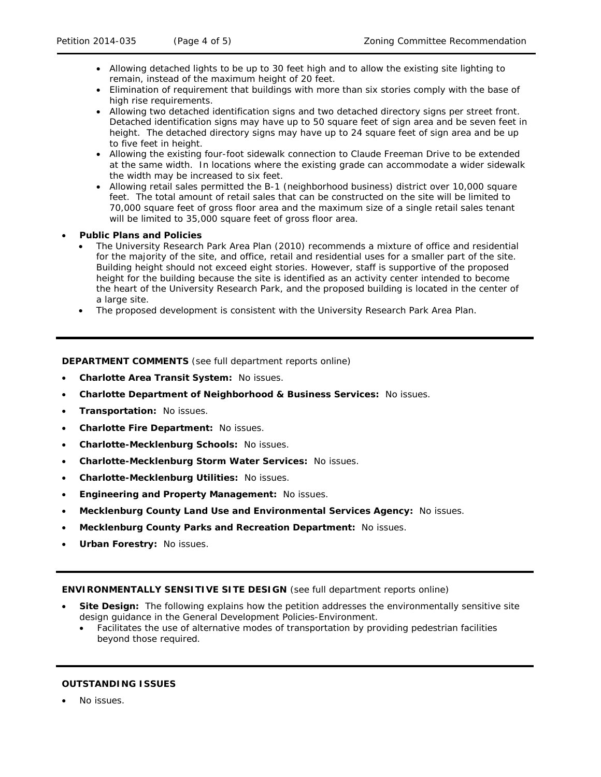- Allowing detached lights to be up to 30 feet high and to allow the existing site lighting to remain, instead of the maximum height of 20 feet.
- Elimination of requirement that buildings with more than six stories comply with the base of high rise requirements.
- Allowing two detached identification signs and two detached directory signs per street front. Detached identification signs may have up to 50 square feet of sign area and be seven feet in height. The detached directory signs may have up to 24 square feet of sign area and be up to five feet in height.
- Allowing the existing four-foot sidewalk connection to Claude Freeman Drive to be extended at the same width. In locations where the existing grade can accommodate a wider sidewalk the width may be increased to six feet.
- Allowing retail sales permitted the B-1 (neighborhood business) district over 10,000 square feet. The total amount of retail sales that can be constructed on the site will be limited to 70,000 square feet of gross floor area and the maximum size of a single retail sales tenant will be limited to 35,000 square feet of gross floor area.

## • **Public Plans and Policies**

- The *University Research Park Area Plan* (2010) recommends a mixture of office and residential for the majority of the site, and office, retail and residential uses for a smaller part of the site. Building height should not exceed eight stories. However, staff is supportive of the proposed height for the building because the site is identified as an activity center intended to become the heart of the University Research Park, and the proposed building is located in the center of a large site.
- The proposed development is consistent with the *University Research Park Area Plan*.

**DEPARTMENT COMMENTS** (see full department reports online)

- **Charlotte Area Transit System:** No issues.
- **Charlotte Department of Neighborhood & Business Services:** No issues.
- **Transportation:** No issues.
- **Charlotte Fire Department:** No issues.
- **Charlotte-Mecklenburg Schools:** No issues.
- **Charlotte-Mecklenburg Storm Water Services:** No issues.
- **Charlotte-Mecklenburg Utilities:** No issues.
- **Engineering and Property Management:** No issues.
- **Mecklenburg County Land Use and Environmental Services Agency:** No issues.
- **Mecklenburg County Parks and Recreation Department:** No issues.
- **Urban Forestry:** No issues.

### **ENVIRONMENTALLY SENSITIVE SITE DESIGN** (see full department reports online)

- **Site Design:** The following explains how the petition addresses the environmentally sensitive site design guidance in the *General Development Policies-Environment*.
	- Facilitates the use of alternative modes of transportation by providing pedestrian facilities beyond those required.

### **OUTSTANDING ISSUES**

• No issues.